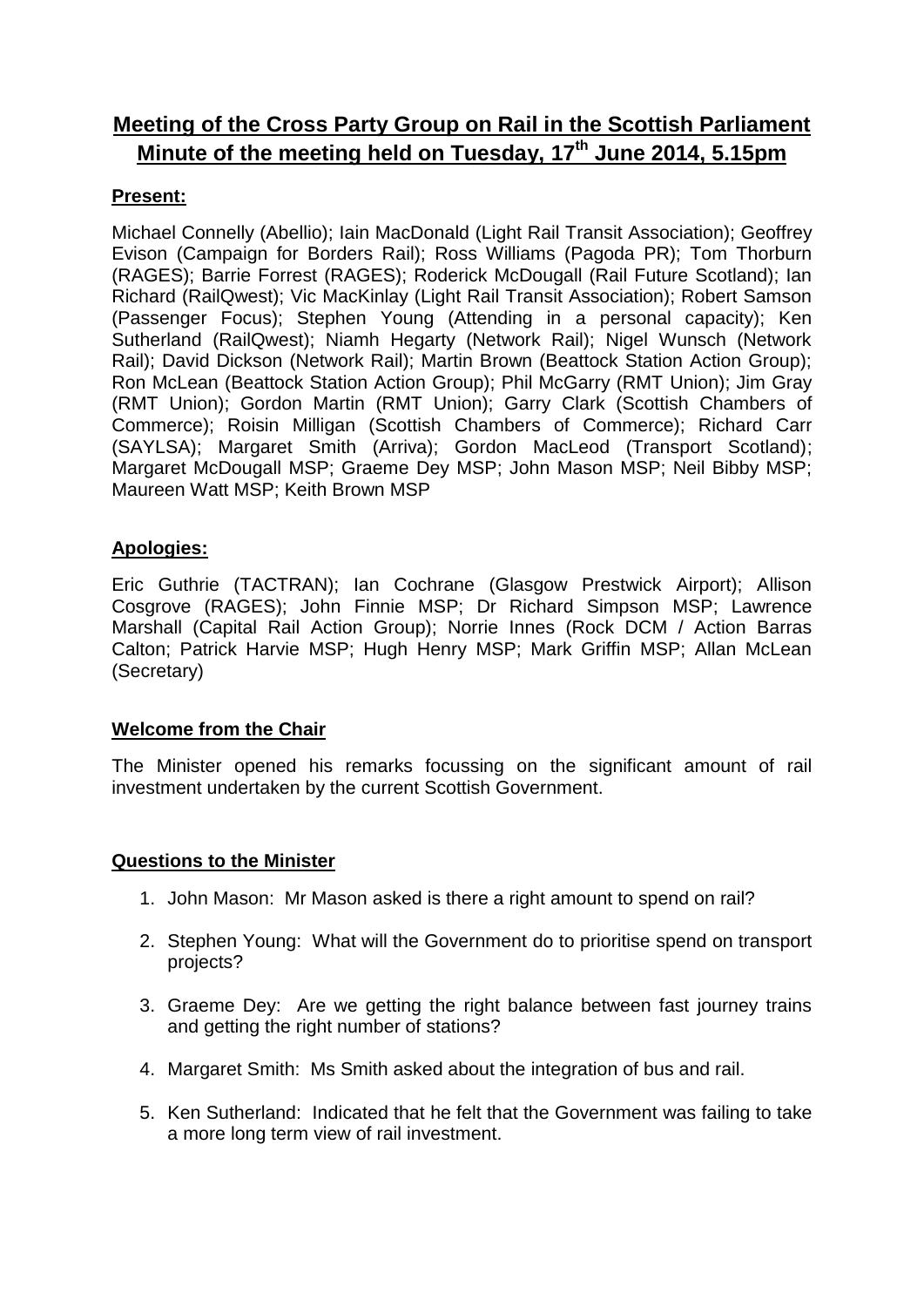# **Meeting of the Cross Party Group on Rail in the Scottish Parliament Minute of the meeting held on Tuesday, 17th June 2014, 5.15pm**

# **Present:**

Michael Connelly (Abellio); Iain MacDonald (Light Rail Transit Association); Geoffrey Evison (Campaign for Borders Rail); Ross Williams (Pagoda PR); Tom Thorburn (RAGES); Barrie Forrest (RAGES); Roderick McDougall (Rail Future Scotland); Ian Richard (RailQwest); Vic MacKinlay (Light Rail Transit Association); Robert Samson (Passenger Focus); Stephen Young (Attending in a personal capacity); Ken Sutherland (RailQwest); Niamh Hegarty (Network Rail); Nigel Wunsch (Network Rail); David Dickson (Network Rail); Martin Brown (Beattock Station Action Group); Ron McLean (Beattock Station Action Group); Phil McGarry (RMT Union); Jim Gray (RMT Union); Gordon Martin (RMT Union); Garry Clark (Scottish Chambers of Commerce); Roisin Milligan (Scottish Chambers of Commerce); Richard Carr (SAYLSA); Margaret Smith (Arriva); Gordon MacLeod (Transport Scotland); Margaret McDougall MSP; Graeme Dey MSP; John Mason MSP; Neil Bibby MSP; Maureen Watt MSP; Keith Brown MSP

## **Apologies:**

Eric Guthrie (TACTRAN); Ian Cochrane (Glasgow Prestwick Airport); Allison Cosgrove (RAGES); John Finnie MSP; Dr Richard Simpson MSP; Lawrence Marshall (Capital Rail Action Group); Norrie Innes (Rock DCM / Action Barras Calton; Patrick Harvie MSP; Hugh Henry MSP; Mark Griffin MSP; Allan McLean (Secretary)

### **Welcome from the Chair**

The Minister opened his remarks focussing on the significant amount of rail investment undertaken by the current Scottish Government.

#### **Questions to the Minister**

- 1. John Mason: Mr Mason asked is there a right amount to spend on rail?
- 2. Stephen Young: What will the Government do to prioritise spend on transport projects?
- 3. Graeme Dey: Are we getting the right balance between fast journey trains and getting the right number of stations?
- 4. Margaret Smith: Ms Smith asked about the integration of bus and rail.
- 5. Ken Sutherland: Indicated that he felt that the Government was failing to take a more long term view of rail investment.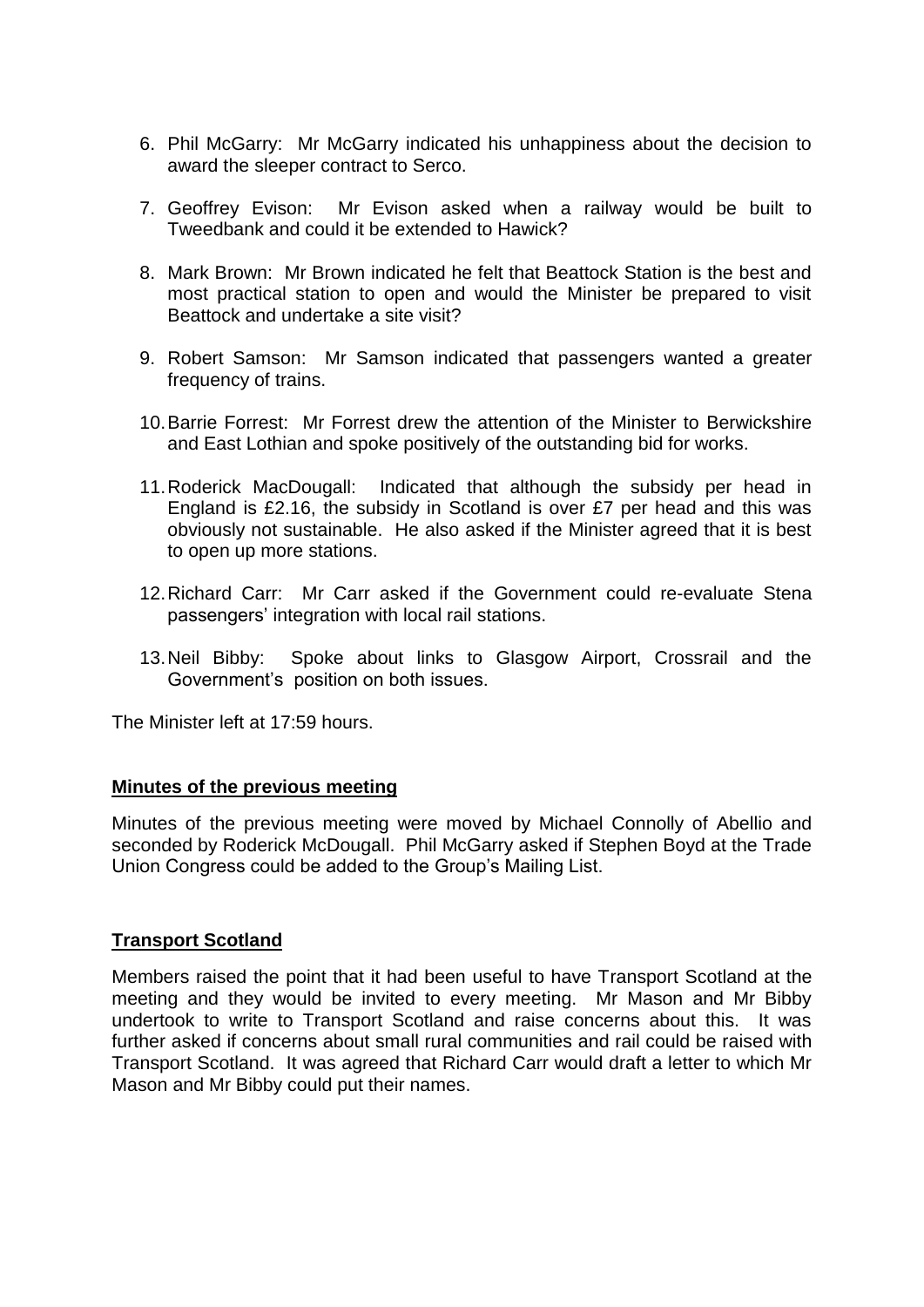- 6. Phil McGarry: Mr McGarry indicated his unhappiness about the decision to award the sleeper contract to Serco.
- 7. Geoffrey Evison: Mr Evison asked when a railway would be built to Tweedbank and could it be extended to Hawick?
- 8. Mark Brown: Mr Brown indicated he felt that Beattock Station is the best and most practical station to open and would the Minister be prepared to visit Beattock and undertake a site visit?
- 9. Robert Samson: Mr Samson indicated that passengers wanted a greater frequency of trains.
- 10.Barrie Forrest: Mr Forrest drew the attention of the Minister to Berwickshire and East Lothian and spoke positively of the outstanding bid for works.
- 11.Roderick MacDougall: Indicated that although the subsidy per head in England is £2.16, the subsidy in Scotland is over £7 per head and this was obviously not sustainable. He also asked if the Minister agreed that it is best to open up more stations.
- 12.Richard Carr: Mr Carr asked if the Government could re-evaluate Stena passengers' integration with local rail stations.
- 13.Neil Bibby: Spoke about links to Glasgow Airport, Crossrail and the Government's position on both issues.

The Minister left at 17:59 hours.

#### **Minutes of the previous meeting**

Minutes of the previous meeting were moved by Michael Connolly of Abellio and seconded by Roderick McDougall. Phil McGarry asked if Stephen Boyd at the Trade Union Congress could be added to the Group's Mailing List.

### **Transport Scotland**

Members raised the point that it had been useful to have Transport Scotland at the meeting and they would be invited to every meeting. Mr Mason and Mr Bibby undertook to write to Transport Scotland and raise concerns about this. It was further asked if concerns about small rural communities and rail could be raised with Transport Scotland. It was agreed that Richard Carr would draft a letter to which Mr Mason and Mr Bibby could put their names.